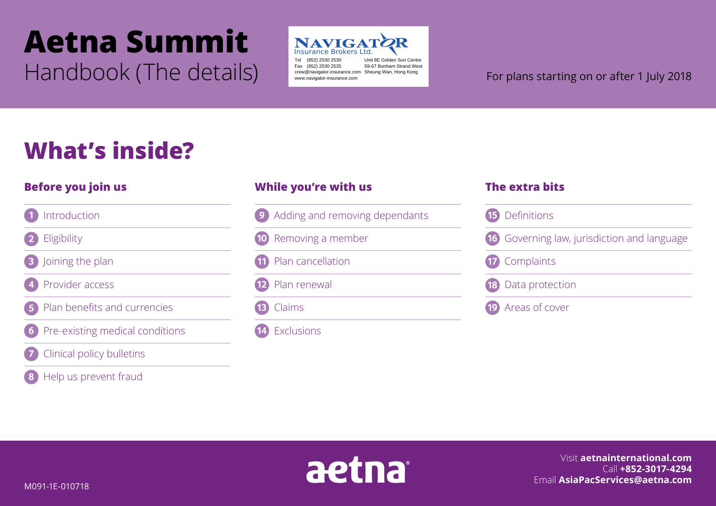# **Aetna Summit** Handbook (The details) Fax (852) 2530 2535 For plans starting on or after 1 July 2018



Tel (852) 2530 2530 Unit 8E Golden Sun Centre 59-67 Bonham Strand West crew@navigator-insurance.com Sheung Wan, Hong Kong www.navigator-insurance.com

## **What's inside?**

### **Before you join us**

#### Introduction

Eligibility

Joining the plan

Provider access

Plan benefits and currencies

Pre-existing medical conditions

- Clinical policy bulletins
- Help us prevent fraud

### **While you're with us**

- Adding and removing dependants **g**
- Removing a member  $(10)$
- Plan cancellation 11
- Plan renewal  $\left( 12\right)$

 $\overline{13}$ Claims

14 Exclusions

### **The extra bits**

| <b>15</b> Definitions                              |
|----------------------------------------------------|
| <b>16</b> Governing law, jurisdiction and language |
| 17 Complaints                                      |
| <b>18</b> Data protection                          |
| <b>19</b> Areas of cover                           |



Visit **aetnainternational.com** Call **+852-3017-4294** Email **AsiaPacServices@aetna.com**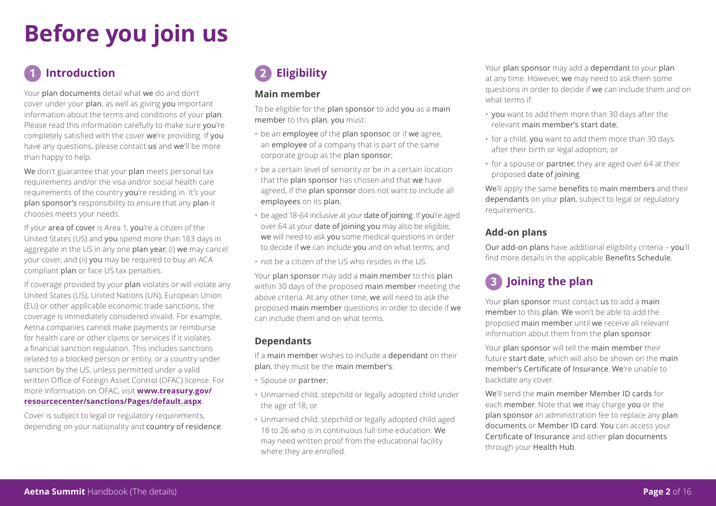## **Before you join us**

### **Introduction**

Your plan documents detail what we do and don't cover under your plan, as well as giving you important information about the terms and conditions of your plan. Please read this information carefully to make sure you're completely satisfied with the cover we're providing. If you have any questions, please contact us and we'll be more than happy to help.

We don't guarantee that your plan meets personal tax requirements and/or the visa and/or social health care requirements of the country you're residing in. It's your plan sponsor's responsibility to ensure that any plan it chooses meets your needs.

If your area of cover is Area 1, you're a citizen of the United States (US) and you spend more than 183 days in aggregate in the US in any one plan year, (i) we may cancel your cover, and (ii) you may be required to buy an ACA compliant plan or face US tax penalties.

If coverage provided by your plan violates or will violate any United States (US), United Nations (UN), European Union (EU) or other applicable economic trade sanctions, the coverage is immediately considered invalid. For example, Aetna companies cannot make payments or reimburse for health care or other claims or services if it violates a financial sanction regulation. This includes sanctions related to a blocked person or entity, or a country under sanction by the US, unless permitted under a valid written Office of Foreign Asset Control (OFAC) license. For more information on OFAC, visit **www.treasury.gov/ resourcecenter/sanctions/Pages/default.aspx**.

Cover is subject to legal or regulatory requirements, depending on your nationality and country of residence.

### **Eligibility**

#### **Main member**

To be eligible for the plan sponsor to add you as a main member to this plan, you must:

- be an employee of the plan sponsor, or if we agree, an employee of a company that is part of the same corporate group as the plan sponsor;
- be a certain level of seniority or be in a certain location that the plan sponsor has chosen and that we have agreed, if the plan sponsor does not want to include all employees on its plan,
- be aged 18-64 inclusive at your date of joining. If you're aged over 64 at your date of joining you may also be eligible; we will need to ask you some medical questions in order to decide if we can include you and on what terms; and
- not be a citizen of the US who resides in the US.

Your plan sponsor may add a main member to this plan within 30 days of the proposed main member meeting the above criteria. At any other time, we will need to ask the proposed main member questions in order to decide if we can include them and on what terms.

#### **Dependants**

If a main member wishes to include a dependant on their plan, they must be the main member's:

- Spouse or partner;
- Unmarried child, stepchild or legally adopted child under the age of 18; or
- Unmarried child, stepchild or legally adopted child aged 18 to 26 who is in continuous full-time education. We may need written proof from the educational facility where they are enrolled.

Your plan sponsor may add a dependant to your plan at any time. However, we may need to ask them some questions in order to decide if we can include them and on what terms if:

- you want to add them more than 30 days after the relevant main member's start date;
- for a child, you want to add them more than 30 days after their birth or legal adoption; or
- for a spouse or partner, they are aged over 64 at their proposed date of joining.

We'll apply the same benefits to main members and their dependants on your plan, subject to legal or regulatory requirements.

#### **Add-on plans**

Our add-on plans have additional eligibility criteria – you'll find more details in the applicable Benefits Schedule.

### **Joining the plan**

Your plan sponsor must contact us to add a main member to this plan. We won't be able to add the proposed main member until we receive all relevant information about them from the plan sponsor.

Your plan sponsor will tell the main member their future start date, which will also be shown on the main member's Certificate of Insurance. We're unable to backdate any cover.

We'll send the main member Member ID cards for each member. Note that we may charge you or the plan sponsor an administration fee to replace any plan documents or Member ID card. You can access your Certificate of Insurance and other plan documents through your Health Hub.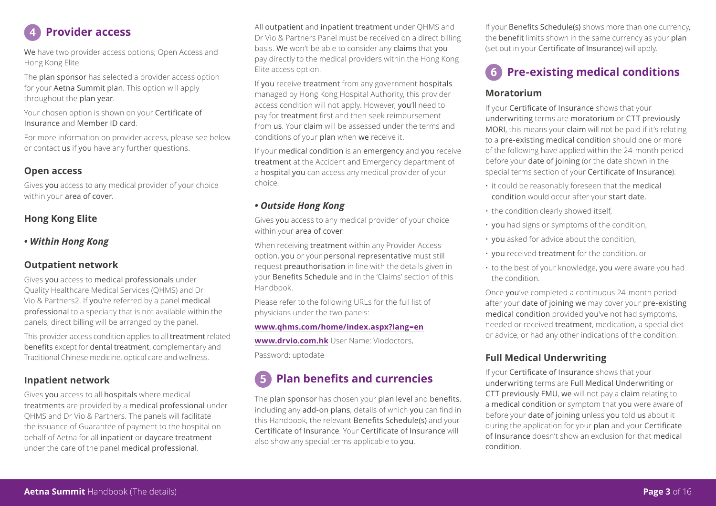

We have two provider access options; Open Access and Hong Kong Elite.

The plan sponsor has selected a provider access option for your Aetna Summit plan. This option will apply throughout the plan year.

Your chosen option is shown on your Certificate of Insurance and Member ID card.

For more information on provider access, please see below or contact us if you have any further questions.

#### **Open access**

Gives you access to any medical provider of your choice within your area of cover.

#### **Hong Kong Elite**

#### *• Within Hong Kong*

#### **Outpatient network**

Gives you access to medical professionals under Quality Healthcare Medical Services (QHMS) and Dr Vio & Partners2. If you're referred by a panel medical professional to a specialty that is not available within the panels, direct billing will be arranged by the panel.

This provider access condition applies to all treatment related benefits except for dental treatment, complementary and Traditional Chinese medicine, optical care and wellness.

#### **Inpatient network**

Gives you access to all hospitals where medical treatments are provided by a medical professional under QHMS and Dr Vio & Partners. The panels will facilitate the issuance of Guarantee of payment to the hospital on behalf of Aetna for all inpatient or daycare treatment under the care of the panel medical professional.

All outpatient and inpatient treatment under QHMS and Dr Vio & Partners Panel must be received on a direct billing basis. We won't be able to consider any claims that you pay directly to the medical providers within the Hong Kong Elite access option.

If you receive treatment from any government hospitals managed by Hong Kong Hospital Authority, this provider access condition will not apply. However, you'll need to pay for treatment first and then seek reimbursement from us. Your claim will be assessed under the terms and conditions of your plan when we receive it.

If your medical condition is an emergency and you receive treatment at the Accident and Emergency department of a hospital you can access any medical provider of your choice.

#### *• Outside Hong Kong*

Gives you access to any medical provider of your choice within your area of cover.

When receiving treatment within any Provider Access option, you or your personal representative must still request preauthorisation in line with the details given in your Benefits Schedule and in the 'Claims' section of this Handbook.

Please refer to the following URLs for the full list of physicians under the two panels:

#### **www.qhms.com/home/index.aspx?lang=en**

**www.drvio.com.hk** User Name: Viodoctors, Password: uptodate

### **Plan benefits and currencies**

The plan sponsor has chosen your plan level and benefits, including any add-on plans, details of which you can find in this Handbook, the relevant Benefits Schedule(s) and your Certificate of Insurance. Your Certificate of Insurance will also show any special terms applicable to you.

If your Benefits Schedule(s) shows more than one currency, the benefit limits shown in the same currency as your plan (set out in your Certificate of Insurance) will apply.

### **Pre-existing medical conditions**

#### **Moratorium**

If your Certificate of Insurance shows that your underwriting terms are moratorium or CTT previously MORI, this means your claim will not be paid if it's relating to a pre-existing medical condition should one or more of the following have applied within the 24-month period before your date of joining (or the date shown in the special terms section of your Certificate of Insurance):

- it could be reasonably foreseen that the medical condition would occur after your start date,
- the condition clearly showed itself,
- you had signs or symptoms of the condition,
- you asked for advice about the condition,
- you received treatment for the condition, or
- to the best of your knowledge, you were aware you had the condition.

Once you've completed a continuous 24-month period after your date of joining we may cover your pre-existing medical condition provided you've not had symptoms, needed or received treatment, medication, a special diet or advice, or had any other indications of the condition.

#### **Full Medical Underwriting**

If your Certificate of Insurance shows that your underwriting terms are Full Medical Underwriting or CTT previously FMU, we will not pay a claim relating to a medical condition or symptom that you were aware of before your date of joining unless you told us about it during the application for your plan and your Certificate of Insurance doesn't show an exclusion for that medical condition.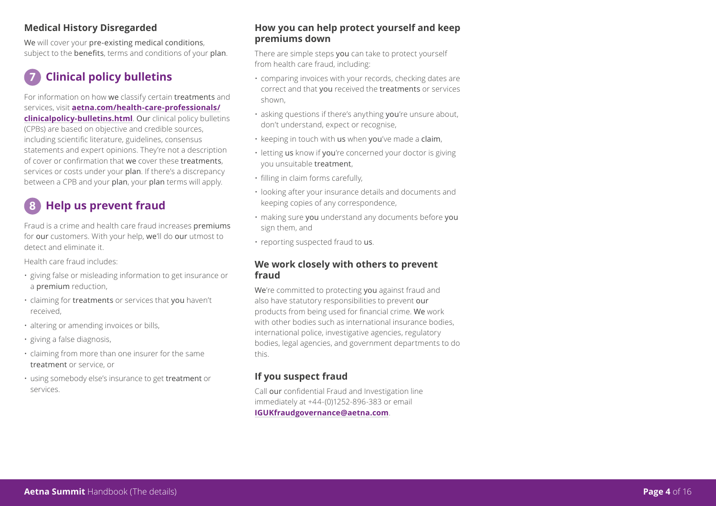#### **Medical History Disregarded**

We will cover your pre-existing medical conditions. subject to the benefits, terms and conditions of your plan.

### **Clinical policy bulletins**

For information on how we classify certain treatments and services, visit **aetna.com/health-care-professionals/ clinicalpolicy-bulletins.html**. Our clinical policy bulletins (CPBs) are based on objective and credible sources, including scientific literature, guidelines, consensus statements and expert opinions. They're not a description of cover or confirmation that we cover these treatments, services or costs under your plan. If there's a discrepancy between a CPB and your plan, your plan terms will apply.

### **Help us prevent fraud**

Fraud is a crime and health care fraud increases premiums for our customers. With your help, we'll do our utmost to detect and eliminate it.

Health care fraud includes:

- giving false or misleading information to get insurance or a premium reduction,
- claiming for treatments or services that you haven't received,
- altering or amending invoices or bills,
- giving a false diagnosis,
- claiming from more than one insurer for the same treatment or service, or
- using somebody else's insurance to get treatment or services.

#### **How you can help protect yourself and keep premiums down**

There are simple steps you can take to protect yourself from health care fraud, including:

- comparing invoices with your records, checking dates are correct and that you received the treatments or services shown,
- asking questions if there's anything you're unsure about, don't understand, expect or recognise,
- $\,\cdot\,$  keeping in touch with us when you've made a claim,
- letting us know if you're concerned your doctor is giving you unsuitable **treatment**,
- filling in claim forms carefully,
- looking after your insurance details and documents and keeping copies of any correspondence,
- making sure you understand any documents before you sign them, and
- reporting suspected fraud to **us**.

#### **We work closely with others to prevent fraud**

We're committed to protecting you against fraud and also have statutory responsibilities to prevent our products from being used for financial crime. We work with other bodies such as international insurance bodies, international police, investigative agencies, regulatory bodies, legal agencies, and government departments to do this.

#### **If you suspect fraud**

Call our confidential Fraud and Investigation line immediately at +44-(0)1252-896-383 or email **IGUKfraudgovernance@aetna.com**.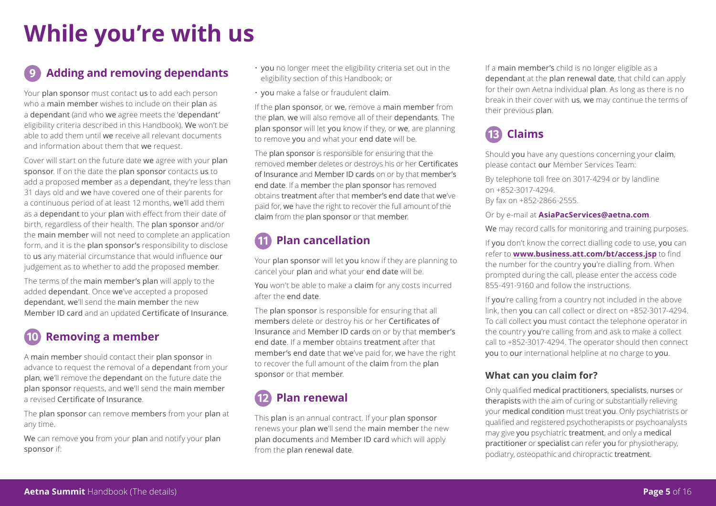## **While you're with us**

### **Adding and removing dependants**

Your plan sponsor must contact us to add each person who a main member wishes to include on their plan as a dependant (and who we agree meets the 'dependant' eligibility criteria described in this Handbook). We won't be able to add them until we receive all relevant documents and information about them that we request.

Cover will start on the future date we agree with your plan sponsor. If on the date the plan sponsor contacts us to add a proposed member as a dependant, they're less than 31 days old and we have covered one of their parents for a continuous period of at least 12 months, we'll add them as a dependant to your plan with effect from their date of birth, regardless of their health. The plan sponsor and/or the main member will not need to complete an application form, and it is the plan sponsor's responsibility to disclose to us any material circumstance that would influence our judgement as to whether to add the proposed member.

The terms of the main member's plan will apply to the added dependant. Once we've accepted a proposed dependant, we'll send the main member the new Member ID card and an updated Certificate of Insurance.

### **Removing a member**

A main member should contact their plan sponsor in advance to request the removal of a dependant from your plan, we'll remove the dependant on the future date the plan sponsor requests, and we'll send the main member a revised Certificate of Insurance.

The plan sponsor can remove members from your plan at any time.

We can remove you from your plan and notify your plan sponsor if:

- you no longer meet the eligibility criteria set out in the eligibility section of this Handbook; or
- you make a false or fraudulent claim.

If the plan sponsor, or we, remove a main member from the plan, we will also remove all of their dependants. The plan sponsor will let you know if they, or we, are planning to remove you and what your end date will be.

The plan sponsor is responsible for ensuring that the removed member deletes or destroys his or her Certificates of Insurance and Member ID cards on or by that member's end date. If a member the plan sponsor has removed obtains treatment after that member's end date that we've paid for, we have the right to recover the full amount of the claim from the plan sponsor or that member.

### **Plan cancellation**

Your plan sponsor will let you know if they are planning to cancel your plan and what your end date will be.

You won't be able to make a claim for any costs incurred after the end date.

The plan sponsor is responsible for ensuring that all members delete or destroy his or her Certificates of Insurance and Member ID cards on or by that member's end date. If a member obtains treatment after that member's end date that we've paid for, we have the right to recover the full amount of the claim from the plan sponsor or that member.

### **Plan renewal**

This plan is an annual contract. If your plan sponsor renews your plan we'll send the main member the new plan documents and Member ID card which will apply from the plan renewal date.

If a main member's child is no longer eligible as a dependant at the plan renewal date, that child can apply for their own Aetna individual plan. As long as there is no break in their cover with us, we may continue the terms of their previous plan.

## **Claims**

Should you have any questions concerning your claim, please contact our Member Services Team:

By telephone toll free on 3017-4294 or by landline on +852-3017-4294. By fax on +852-2866-2555.

Or by e-mail at **AsiaPacServices@aetna.com**.

We may record calls for monitoring and training purposes.

If you don't know the correct dialling code to use, you can refer to **www.business.att.com/bt/access.jsp** to find the number for the country you're dialling from. When prompted during the call, please enter the access code 855-491-9160 and follow the instructions.

If you're calling from a country not included in the above link, then you can call collect or direct on +852-3017-4294. To call collect you must contact the telephone operator in the country you're calling from and ask to make a collect call to +852-3017-4294. The operator should then connect you to our international helpline at no charge to you.

#### **What can you claim for?**

Only qualified medical practitioners, specialists, nurses or therapists with the aim of curing or substantially relieving your medical condition must treat you. Only psychiatrists or qualified and registered psychotherapists or psychoanalysts may give you psychiatric treatment, and only a medical practitioner or specialist can refer you for physiotherapy, podiatry, osteopathic and chiropractic treatment.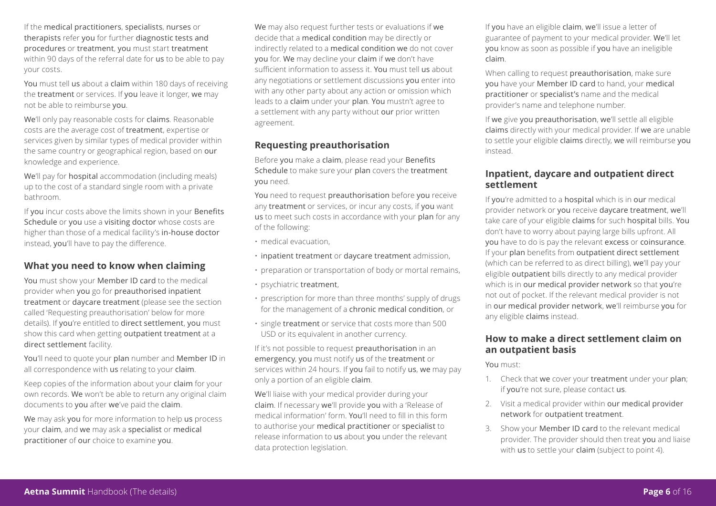If the medical practitioners, specialists, nurses or therapists refer you for further diagnostic tests and procedures or treatment, you must start treatment within 90 days of the referral date for us to be able to pay your costs.

You must tell us about a claim within 180 days of receiving the treatment or services. If you leave it longer, we may not be able to reimburse you.

We'll only pay reasonable costs for claims. Reasonable costs are the average cost of treatment, expertise or services given by similar types of medical provider within the same country or geographical region, based on our knowledge and experience.

We'll pay for **hospital** accommodation (including meals) up to the cost of a standard single room with a private bathroom.

If you incur costs above the limits shown in your Benefits Schedule or you use a visiting doctor whose costs are higher than those of a medical facility's in-house doctor instead, you'll have to pay the difference.

#### **What you need to know when claiming**

You must show your Member ID card to the medical provider when you go for preauthorised inpatient treatment or daycare treatment (please see the section called 'Requesting preauthorisation' below for more details). If you're entitled to direct settlement, you must show this card when getting outpatient treatment at a direct settlement facility.

You'll need to quote your plan number and Member ID in all correspondence with us relating to your claim.

Keep copies of the information about your claim for your own records. We won't be able to return any original claim documents to you after we've paid the claim.

We may ask you for more information to help us process your claim, and we may ask a specialist or medical practitioner of our choice to examine you.

We may also request further tests or evaluations if we decide that a medical condition may be directly or indirectly related to a medical condition we do not cover you for. We may decline your claim if we don't have sufficient information to assess it. You must tell us about any negotiations or settlement discussions you enter into with any other party about any action or omission which leads to a claim under your plan. You mustn't agree to a settlement with any party without our prior written agreement.

#### **Requesting preauthorisation**

Before you make a claim, please read your Benefits Schedule to make sure your plan covers the treatment you need.

You need to request preauthorisation before you receive any treatment or services, or incur any costs, if you want us to meet such costs in accordance with your plan for any of the following:

- medical evacuation,
- inpatient treatment or daycare treatment admission,
- preparation or transportation of body or mortal remains,
- psychiatric treatment,
- prescription for more than three months' supply of drugs for the management of a chronic medical condition, or
- single treatment or service that costs more than 500 USD or its equivalent in another currency.

If it's not possible to request preauthorisation in an emergency, you must notify us of the treatment or services within 24 hours. If you fail to notify us, we may pay only a portion of an eligible claim.

We'll liaise with your medical provider during your claim. If necessary we'll provide you with a 'Release of medical information' form. You'll need to fill in this form to authorise your medical practitioner or specialist to release information to us about you under the relevant data protection legislation.

If you have an eligible claim, we'll issue a letter of guarantee of payment to your medical provider. We'll let you know as soon as possible if you have an ineligible claim.

When calling to request preauthorisation, make sure you have your Member ID card to hand, your medical practitioner or specialist's name and the medical provider's name and telephone number.

If we give you preauthorisation, we'll settle all eligible claims directly with your medical provider. If we are unable to settle your eligible claims directly, we will reimburse you instead.

#### **Inpatient, daycare and outpatient direct settlement**

If you're admitted to a hospital which is in our medical provider network or you receive daycare treatment, we'll take care of your eligible claims for such hospital bills. You don't have to worry about paying large bills upfront. All you have to do is pay the relevant excess or coinsurance. If your plan benefits from outpatient direct settlement (which can be referred to as direct billing), we'll pay your eligible outpatient bills directly to any medical provider which is in our medical provider network so that you're not out of pocket. If the relevant medical provider is not in our medical provider network, we'll reimburse you for any eligible claims instead.

#### **How to make a direct settlement claim on an outpatient basis**

You must:

- 1. Check that we cover your treatment under your plan; if you're not sure, please contact us.
- 2. Visit a medical provider within our medical provider network for outpatient treatment.
- 3. Show your Member ID card to the relevant medical provider. The provider should then treat you and liaise with us to settle your claim (subject to point 4).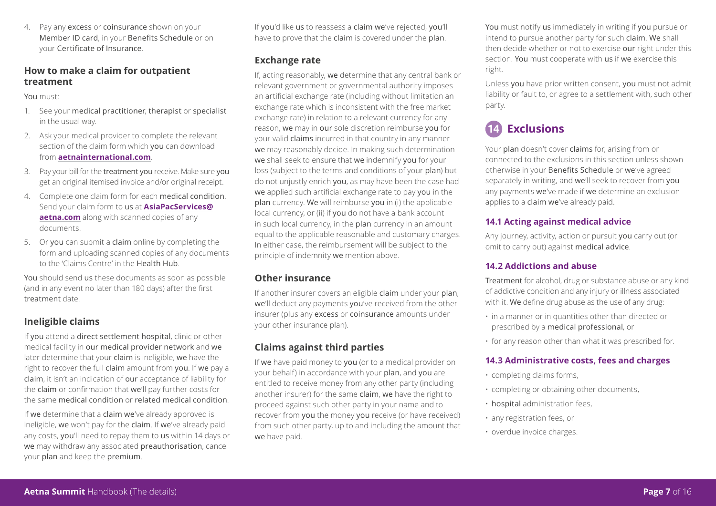4. Pay any excess or coinsurance shown on your Member ID card, in your Benefits Schedule or on your Certificate of Insurance.

#### **How to make a claim for outpatient treatment**

You must:

- 1. See your medical practitioner, therapist or specialist in the usual way.
- 2. Ask your medical provider to complete the relevant section of the claim form which you can download from **aetnainternational.com**.
- 3. Pay your bill for the treatment you receive. Make sure you get an original itemised invoice and/or original receipt.
- 4. Complete one claim form for each medical condition. Send your claim form to us at **AsiaPacServices@ aetna.com** along with scanned copies of any documents.
- 5. Or you can submit a claim online by completing the form and uploading scanned copies of any documents to the 'Claims Centre' in the Health Hub.

You should send us these documents as soon as possible (and in any event no later than 180 days) after the first treatment date.

#### **Ineligible claims**

If you attend a direct settlement hospital, clinic or other medical facility in our medical provider network and we later determine that your claim is ineligible, we have the right to recover the full claim amount from you. If we pay a claim, it isn't an indication of our acceptance of liability for the claim or confirmation that we'll pay further costs for the same medical condition or related medical condition.

If we determine that a claim we've already approved is ineligible, we won't pay for the claim. If we've already paid any costs, you'll need to repay them to us within 14 days or we may withdraw any associated preauthorisation, cancel your plan and keep the premium.

If you'd like us to reassess a claim we've rejected, you'll have to prove that the claim is covered under the plan.

#### **Exchange rate**

If, acting reasonably, we determine that any central bank or relevant government or governmental authority imposes an artificial exchange rate (including without limitation an exchange rate which is inconsistent with the free market exchange rate) in relation to a relevant currency for any reason, we may in our sole discretion reimburse you for your valid claims incurred in that country in any manner we may reasonably decide. In making such determination we shall seek to ensure that we indemnify you for your loss (subject to the terms and conditions of your plan) but do not unjustly enrich you, as may have been the case had we applied such artificial exchange rate to pay you in the plan currency. We will reimburse you in (i) the applicable local currency, or (ii) if you do not have a bank account in such local currency, in the plan currency in an amount equal to the applicable reasonable and customary charges. In either case, the reimbursement will be subject to the principle of indemnity we mention above.

#### **Other insurance**

If another insurer covers an eligible claim under your plan, we'll deduct any payments you've received from the other insurer (plus any excess or coinsurance amounts under your other insurance plan).

#### **Claims against third parties**

If we have paid money to you (or to a medical provider on your behalf) in accordance with your plan, and you are entitled to receive money from any other party (including another insurer) for the same claim, we have the right to proceed against such other party in your name and to recover from you the money you receive (or have received) from such other party, up to and including the amount that we have paid.

You must notify us immediately in writing if you pursue or intend to pursue another party for such claim. We shall then decide whether or not to exercise our right under this section. You must cooperate with us if we exercise this right.

Unless you have prior written consent, you must not admit liability or fault to, or agree to a settlement with, such other party.

### **Exclusions**

Your plan doesn't cover claims for, arising from or connected to the exclusions in this section unless shown otherwise in your Benefits Schedule or we've agreed separately in writing, and we'll seek to recover from you any payments we've made if we determine an exclusion applies to a claim we've already paid.

#### **14.1 Acting against medical advice**

Any journey, activity, action or pursuit you carry out (or omit to carry out) against medical advice.

#### **14.2 Addictions and abuse**

Treatment for alcohol, drug or substance abuse or any kind of addictive condition and any injury or illness associated with it. We define drug abuse as the use of any drug:

- in a manner or in quantities other than directed or prescribed by a medical professional, or
- for any reason other than what it was prescribed for.

#### **14.3 Administrative costs, fees and charges**

- completing claims forms,
- completing or obtaining other documents,
- hospital administration fees,
- any registration fees, or
- overdue invoice charges.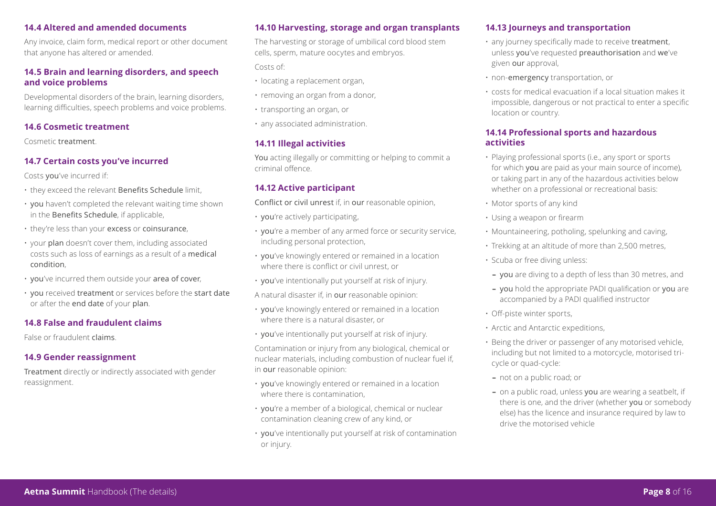#### **14.4 Altered and amended documents**

Any invoice, claim form, medical report or other document that anyone has altered or amended.

#### **14.5 Brain and learning disorders, and speech and voice problems**

Developmental disorders of the brain, learning disorders, learning difficulties, speech problems and voice problems.

#### **14.6 Cosmetic treatment**

Cosmetic treatment.

#### **14.7 Certain costs you've incurred**

Costs you've incurred if:

- they exceed the relevant Benefits Schedule limit,
- you haven't completed the relevant waiting time shown in the Benefits Schedule, if applicable,
- they're less than your excess or coinsurance,
- your plan doesn't cover them, including associated costs such as loss of earnings as a result of a medical condition,
- you've incurred them outside your area of cover,
- you received treatment or services before the start date or after the end date of your plan.

#### **14.8 False and fraudulent claims**

False or fraudulent claims.

#### **14.9 Gender reassignment**

Treatment directly or indirectly associated with gender reassignment.

#### **14.10 Harvesting, storage and organ transplants**

The harvesting or storage of umbilical cord blood stem cells, sperm, mature oocytes and embryos.

Costs of:

- locating a replacement organ,
- removing an organ from a donor,
- transporting an organ, or
- any associated administration.

#### **14.11 Illegal activities**

You acting illegally or committing or helping to commit a criminal offence.

#### **14.12 Active participant**

Conflict or civil unrest if, in our reasonable opinion,

- you're actively participating,
- you're a member of any armed force or security service, including personal protection,
- you've knowingly entered or remained in a location where there is conflict or civil unrest, or
- you've intentionally put yourself at risk of injury.
- A natural disaster if, in our reasonable opinion:
- you've knowingly entered or remained in a location where there is a natural disaster, or
- you've intentionally put yourself at risk of injury.

Contamination or injury from any biological, chemical or nuclear materials, including combustion of nuclear fuel if, in our reasonable opinion:

- you've knowingly entered or remained in a location where there is contamination.
- you're a member of a biological, chemical or nuclear contamination cleaning crew of any kind, or
- you've intentionally put yourself at risk of contamination or injury.

#### **14.13 Journeys and transportation**

- any journey specifically made to receive treatment, unless you've requested preauthorisation and we've given our approval,
- non-emergency transportation, or
- costs for medical evacuation if a local situation makes it impossible, dangerous or not practical to enter a specific location or country.

#### **14.14 Professional sports and hazardous activities**

- Playing professional sports (i.e., any sport or sports for which you are paid as your main source of income), or taking part in any of the hazardous activities below whether on a professional or recreational basis:
- Motor sports of any kind
- Using a weapon or firearm
- Mountaineering, potholing, spelunking and caving,
- Trekking at an altitude of more than 2,500 metres,
- Scuba or free diving unless:
	- **–** you are diving to a depth of less than 30 metres, and
	- **–** you hold the appropriate PADI qualification or you are accompanied by a PADI qualified instructor
- Off-piste winter sports,
- Arctic and Antarctic expeditions,
- Being the driver or passenger of any motorised vehicle, including but not limited to a motorcycle, motorised tricycle or quad-cycle:
	- **–** not on a public road; or
	- **–** on a public road, unless you are wearing a seatbelt, if there is one, and the driver (whether you or somebody else) has the licence and insurance required by law to drive the motorised vehicle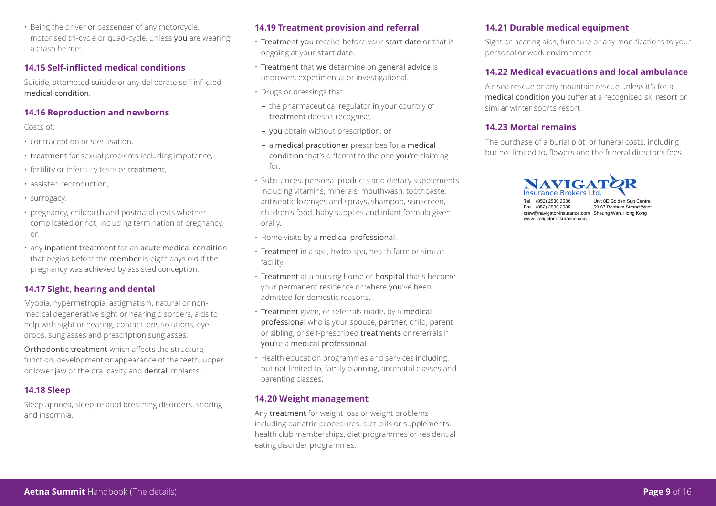• Being the driver or passenger of any motorcycle, motorised tri-cycle or quad-cycle, unless you are wearing a crash helmet.

#### **14.15 Self-inflicted medical conditions**

Suicide, attempted suicide or any deliberate self-inflicted medical condition.

#### **14.16 Reproduction and newborns**

Costs of:

- contraception or sterilisation,
- treatment for sexual problems including impotence,
- fertility or infertility tests or treatment,
- assisted reproduction,
- surrogacy,
- pregnancy, childbirth and postnatal costs whether complicated or not, including termination of pregnancy, or
- any inpatient treatment for an acute medical condition that begins before the member is eight days old if the pregnancy was achieved by assisted conception.

#### **14.17 Sight, hearing and dental**

Myopia, hypermetropia, astigmatism, natural or nonmedical degenerative sight or hearing disorders, aids to help with sight or hearing, contact lens solutions, eye drops, sunglasses and prescription sunglasses.

Orthodontic treatment which affects the structure, function, development or appearance of the teeth, upper or lower jaw or the oral cavity and dental implants.

#### **14.18 Sleep**

Sleep apnoea, sleep-related breathing disorders, snoring and insomnia.

#### **14.19 Treatment provision and referral**

- Treatment you receive before your start date or that is ongoing at your start date.
- Treatment that we determine on general advice is unproven, experimental or investigational.
- Drugs or dressings that:
- **–** the pharmaceutical regulator in your country of treatment doesn't recognise,
- **–** you obtain without prescription, or
- **–** a medical practitioner prescribes for a medical condition that's different to the one you're claiming for.
- Substances, personal products and dietary supplements including vitamins, minerals, mouthwash, toothpaste, antiseptic lozenges and sprays, shampoo, sunscreen, children's food, baby supplies and infant formula given orally.
- Home visits by a medical professional.
- Treatment in a spa, hydro spa, health farm or similar facility.
- Treatment at a nursing home or hospital that's become your permanent residence or where you've been admitted for domestic reasons.
- Treatment given, or referrals made, by a medical professional who is your spouse, partner, child, parent or sibling, or self-prescribed treatments or referrals if you're a medical professional.
- Health education programmes and services including, but not limited to, family planning, antenatal classes and parenting classes.

#### **14.20 Weight management**

Any treatment for weight loss or weight problems including bariatric procedures, diet pills or supplements, health club memberships, diet programmes or residential eating disorder programmes.

#### **14.21 Durable medical equipment**

Sight or hearing aids, furniture or any modifications to your personal or work environment.

#### **14.22 Medical evacuations and local ambulance**

Air-sea rescue or any mountain rescue unless it's for a medical condition you suffer at a recognised ski resort or similar winter sports resort.

#### **14.23 Mortal remains**

The purchase of a burial plot, or funeral costs, including, but not limited to, flowers and the funeral director's fees.



Tel (852) 2530 2530 Unit 8E Golden Sun Centre<br>
Fax (852) 2530 2535 59-67 Bonham Strand Wes crew@navigator-insurance.com Sheung Wan, Hong Kong www.navigator-insurance.com

59-67 Bonham Strand West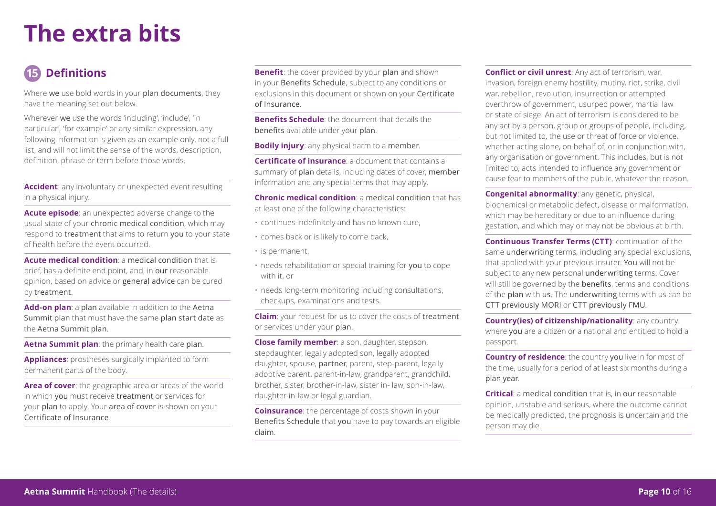## **The extra bits**

### **Definitions**

Where we use bold words in your plan documents, they have the meaning set out below.

Wherever we use the words 'including', 'include', 'in particular', 'for example' or any similar expression, any following information is given as an example only, not a full list, and will not limit the sense of the words, description, definition, phrase or term before those words.

**Accident**: any involuntary or unexpected event resulting in a physical injury.

**Acute episode**: an unexpected adverse change to the usual state of your chronic medical condition, which may respond to treatment that aims to return you to your state of health before the event occurred.

**Acute medical condition**: a medical condition that is brief, has a definite end point, and, in our reasonable opinion, based on advice or general advice can be cured by treatment.

**Add-on plan**: a plan available in addition to the Aetna Summit plan that must have the same plan start date as the Aetna Summit plan.

**Aetna Summit plan**: the primary health care plan.

**Appliances**: prostheses surgically implanted to form permanent parts of the body.

**Area of cover**: the geographic area or areas of the world in which you must receive treatment or services for your plan to apply. Your area of cover is shown on your Certificate of Insurance.

**Benefit:** the cover provided by your plan and shown in your Benefits Schedule, subject to any conditions or exclusions in this document or shown on your Certificate of Insurance.

**Benefits Schedule**: the document that details the benefits available under your plan.

**Bodily injury**: any physical harm to a member.

**Certificate of insurance**: a document that contains a summary of plan details, including dates of cover, member information and any special terms that may apply.

**Chronic medical condition**: a medical condition that has at least one of the following characteristics:

- continues indefinitely and has no known cure,
- comes back or is likely to come back,
- is permanent,
- needs rehabilitation or special training for you to cope with it, or
- needs long-term monitoring including consultations, checkups, examinations and tests.

**Claim**: your request for us to cover the costs of treatment or services under your plan.

**Close family member**: a son, daughter, stepson, stepdaughter, legally adopted son, legally adopted daughter, spouse, partner, parent, step-parent, legally adoptive parent, parent-in-law, grandparent, grandchild, brother, sister, brother-in-law, sister in- law, son-in-law, daughter-in-law or legal guardian.

**Coinsurance**: the percentage of costs shown in your Benefits Schedule that you have to pay towards an eligible claim.

**Conflict or civil unrest**: Any act of terrorism, war, invasion, foreign enemy hostility, mutiny, riot, strike, civil war, rebellion, revolution, insurrection or attempted overthrow of government, usurped power, martial law or state of siege. An act of terrorism is considered to be any act by a person, group or groups of people, including, but not limited to, the use or threat of force or violence, whether acting alone, on behalf of, or in conjunction with, any organisation or government. This includes, but is not limited to, acts intended to influence any government or cause fear to members of the public, whatever the reason.

**Congenital abnormality**: any genetic, physical, biochemical or metabolic defect, disease or malformation, which may be hereditary or due to an influence during gestation, and which may or may not be obvious at birth.

**Continuous Transfer Terms (CTT)**: continuation of the same underwriting terms, including any special exclusions, that applied with your previous insurer. You will not be subject to any new personal underwriting terms. Cover will still be governed by the **benefits**, terms and conditions of the plan with us. The underwriting terms with us can be CTT previously MORI or CTT previously FMU.

**Country(ies) of citizenship/nationality**: any country where you are a citizen or a national and entitled to hold a passport.

**Country of residence**: the country you live in for most of the time, usually for a period of at least six months during a plan year.

**Critical**: a medical condition that is, in our reasonable opinion, unstable and serious, where the outcome cannot be medically predicted, the prognosis is uncertain and the person may die.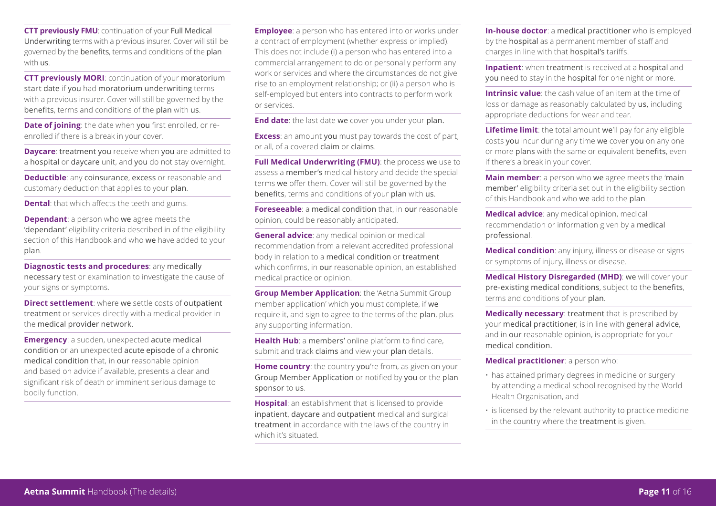**CTT previously FMU**: continuation of your Full Medical Underwriting terms with a previous insurer. Cover will still be governed by the benefits, terms and conditions of the plan with us.

**CTT previously MORI: continuation of your moratorium** start date if you had moratorium underwriting terms with a previous insurer. Cover will still be governed by the benefits, terms and conditions of the plan with us.

**Date of joining**: the date when you first enrolled, or reenrolled if there is a break in your cover.

**Daycare**: treatment you receive when you are admitted to a hospital or daycare unit, and you do not stay overnight.

**Deductible**: any coinsurance, excess or reasonable and customary deduction that applies to your plan.

**Dental**: that which affects the teeth and gums.

**Dependant**: a person who we agree meets the 'dependant' eligibility criteria described in of the eligibility section of this Handbook and who we have added to your plan.

**Diagnostic tests and procedures**: any medically necessary test or examination to investigate the cause of your signs or symptoms.

**Direct settlement**: where we settle costs of outpatient treatment or services directly with a medical provider in the medical provider network.

**Emergency:** a sudden, unexpected acute medical condition or an unexpected acute episode of a chronic medical condition that, in our reasonable opinion and based on advice if available, presents a clear and significant risk of death or imminent serious damage to bodily function.

**Employee**: a person who has entered into or works under a contract of employment (whether express or implied). This does not include (i) a person who has entered into a commercial arrangement to do or personally perform any work or services and where the circumstances do not give rise to an employment relationship; or (ii) a person who is self-employed but enters into contracts to perform work or services.

**End date**: the last date we cover you under your plan.

**Excess**: an amount you must pay towards the cost of part, or all, of a covered claim or claims.

**Full Medical Underwriting (FMU)**: the process we use to assess a member's medical history and decide the special terms we offer them. Cover will still be governed by the benefits, terms and conditions of your plan with us.

**Foreseeable**: a medical condition that, in our reasonable opinion, could be reasonably anticipated.

**General advice**: any medical opinion or medical recommendation from a relevant accredited professional body in relation to a medical condition or treatment which confirms, in our reasonable opinion, an established medical practice or opinion.

**Group Member Application**: the 'Aetna Summit Group member application' which you must complete, if we require it, and sign to agree to the terms of the plan, plus any supporting information.

**Health Hub**: a members' online platform to find care, submit and track claims and view your plan details.

**Home country:** the country you're from, as given on your Group Member Application or notified by you or the plan sponsor to us.

**Hospital**: an establishment that is licensed to provide inpatient, daycare and outpatient medical and surgical treatment in accordance with the laws of the country in which it's situated.

**In-house doctor**: a medical practitioner who is employed by the hospital as a permanent member of staff and charges in line with that hospital's tariffs.

**Inpatient**: when treatment is received at a hospital and you need to stay in the hospital for one night or more.

**Intrinsic value**: the cash value of an item at the time of loss or damage as reasonably calculated by us, including appropriate deductions for wear and tear.

**Lifetime limit:** the total amount we'll pay for any eligible costs you incur during any time we cover you on any one or more plans with the same or equivalent benefits, even if there's a break in your cover.

**Main member**: a person who we agree meets the 'main' member' eligibility criteria set out in the eligibility section of this Handbook and who we add to the plan.

**Medical advice**: any medical opinion, medical recommendation or information given by a medical professional.

**Medical condition**: any injury, illness or disease or signs or symptoms of injury, illness or disease.

**Medical History Disregarded (MHD)**: we will cover your pre-existing medical conditions, subject to the benefits, terms and conditions of your plan.

**Medically necessary**: treatment that is prescribed by your medical practitioner, is in line with general advice, and in our reasonable opinion, is appropriate for your medical condition.

**Medical practitioner**: a person who:

- has attained primary degrees in medicine or surgery by attending a medical school recognised by the World Health Organisation, and
- is licensed by the relevant authority to practice medicine in the country where the treatment is given.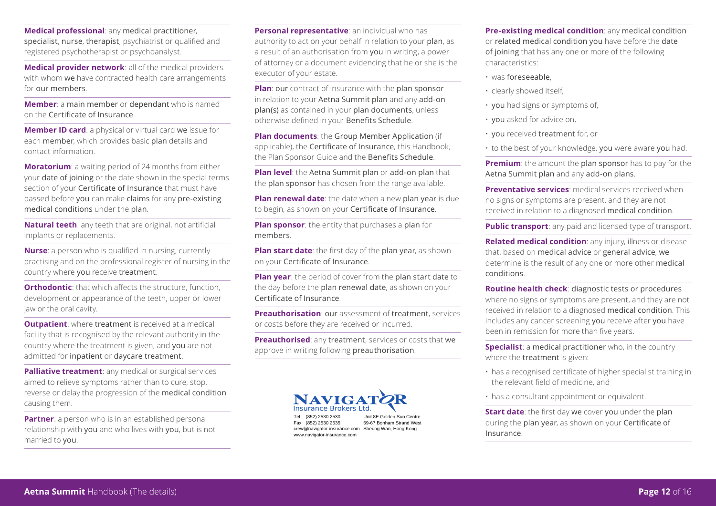**Medical professional**: any medical practitioner, specialist, nurse, therapist, psychiatrist or qualified and registered psychotherapist or psychoanalyst.

**Medical provider network**: all of the medical providers with whom we have contracted health care arrangements for our members.

**Member**: a main member or dependant who is named on the Certificate of Insurance.

**Member ID card**: a physical or virtual card we issue for each member, which provides basic plan details and contact information.

**Moratorium**: a waiting period of 24 months from either your date of joining or the date shown in the special terms section of your Certificate of Insurance that must have passed before you can make claims for any pre-existing medical conditions under the plan.

**Natural teeth**: any teeth that are original, not artificial implants or replacements.

**Nurse**: a person who is qualified in nursing, currently practising and on the professional register of nursing in the country where you receive treatment.

**Orthodontic:** that which affects the structure, function, development or appearance of the teeth, upper or lower jaw or the oral cavity.

**Outpatient**: where treatment is received at a medical facility that is recognised by the relevant authority in the country where the treatment is given, and you are not admitted for inpatient or daycare treatment.

**Palliative treatment:** any medical or surgical services aimed to relieve symptoms rather than to cure, stop, reverse or delay the progression of the medical condition causing them.

**Partner**: a person who is in an established personal relationship with you and who lives with you, but is not married to you.

**Personal representative**: an individual who has authority to act on your behalf in relation to your plan, as a result of an authorisation from you in writing, a power of attorney or a document evidencing that he or she is the executor of your estate.

**Plan**: our contract of insurance with the plan sponsor in relation to your Aetna Summit plan and any add-on plan(s) as contained in your plan documents, unless otherwise defined in your Benefits Schedule.

**Plan documents:** the Group Member Application (if applicable), the Certificate of Insurance, this Handbook, the Plan Sponsor Guide and the Benefits Schedule.

**Plan level**: the Aetna Summit plan or add-on plan that the plan sponsor has chosen from the range available.

**Plan renewal date**: the date when a new plan year is due to begin, as shown on your Certificate of Insurance.

**Plan sponsor**: the entity that purchases a plan for members.

**Plan start date**: the first day of the plan year, as shown on your Certificate of Insurance.

**Plan year**: the period of cover from the plan start date to the day before the plan renewal date, as shown on your Certificate of Insurance.

**Preauthorisation**: our assessment of treatment, services or costs before they are received or incurred.

**Preauthorised**: any treatment, services or costs that we approve in writing following preauthorisation.



www.navigator-insurance.com

Tel (852) 2530 2530 Unit 8E Golden Sun Centre Fax (852) 2530 2535 59-67 Bonham Strand West crew@navigator-insurance.com Sheung Wan, Hong Kong

**Pre-existing medical condition**: any medical condition or related medical condition you have before the date of joining that has any one or more of the following characteristics:

- was foreseeable,
- clearly showed itself,
- you had signs or symptoms of,
- you asked for advice on,
- you received treatment for, or
- to the best of your knowledge, you were aware you had.

**Premium**: the amount the plan sponsor has to pay for the Aetna Summit plan and any add-on plans.

**Preventative services**: medical services received when no signs or symptoms are present, and they are not received in relation to a diagnosed medical condition.

**Public transport:** any paid and licensed type of transport.

**Related medical condition**: any injury, illness or disease that, based on medical advice or general advice, we determine is the result of any one or more other medical conditions.

**Routine health check**: diagnostic tests or procedures where no signs or symptoms are present, and they are not received in relation to a diagnosed medical condition. This includes any cancer screening you receive after you have been in remission for more than five years.

**Specialist**: a medical practitioner who, in the country where the treatment is given:

- has a recognised certificate of higher specialist training in the relevant field of medicine, and
- has a consultant appointment or equivalent.

**Start date:** the first day we cover you under the plan during the plan year, as shown on your Certificate of Insurance.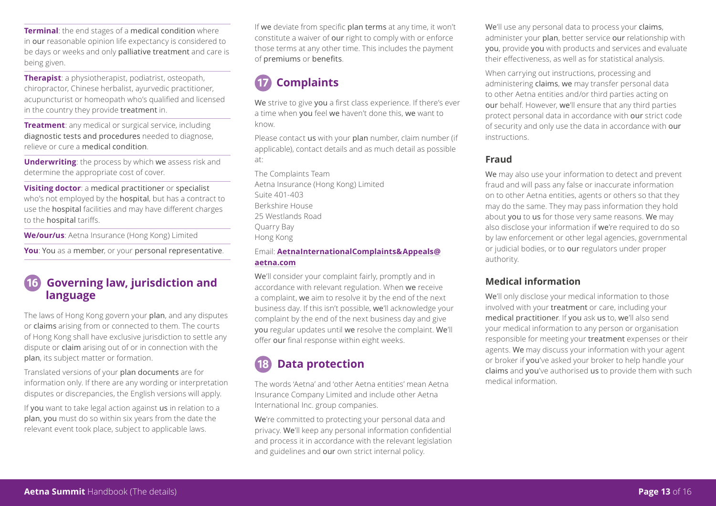**Terminal:** the end stages of a medical condition where in our reasonable opinion life expectancy is considered to be days or weeks and only palliative treatment and care is being given.

**Therapist**: a physiotherapist, podiatrist, osteopath, chiropractor, Chinese herbalist, ayurvedic practitioner, acupuncturist or homeopath who's qualified and licensed in the country they provide treatment in.

**Treatment**: any medical or surgical service, including diagnostic tests and procedures needed to diagnose, relieve or cure a medical condition.

**Underwriting**: the process by which we assess risk and determine the appropriate cost of cover.

**Visiting doctor**: a medical practitioner or specialist who's not employed by the **hospital**, but has a contract to use the hospital facilities and may have different charges to the hospital tariffs.

**We/our/us**: Aetna Insurance (Hong Kong) Limited

**You**: You as a member, or your personal representative.

#### **Governing law, jurisdiction and language**

The laws of Hong Kong govern your plan, and any disputes or claims arising from or connected to them. The courts of Hong Kong shall have exclusive jurisdiction to settle any dispute or claim arising out of or in connection with the plan, its subject matter or formation.

Translated versions of your plan documents are for information only. If there are any wording or interpretation disputes or discrepancies, the English versions will apply.

If you want to take legal action against us in relation to a plan, you must do so within six years from the date the relevant event took place, subject to applicable laws.

If we deviate from specific plan terms at any time, it won't constitute a waiver of our right to comply with or enforce those terms at any other time. This includes the payment of premiums or benefits.

### **Complaints**

We strive to give you a first class experience. If there's ever a time when you feel we haven't done this, we want to know.

Please contact us with your plan number, claim number (if applicable), contact details and as much detail as possible at:

The Complaints Team Aetna Insurance (Hong Kong) Limited Suite 401-403 Berkshire House 25 Westlands Road Quarry Bay Hong Kong

#### Email: **AetnaInternationalComplaints&Appeals@ aetna.com**

We'll consider your complaint fairly, promptly and in accordance with relevant regulation. When we receive a complaint, we aim to resolve it by the end of the next business day. If this isn't possible, we'll acknowledge your complaint by the end of the next business day and give you regular updates until we resolve the complaint. We'll offer our final response within eight weeks.

### **Data protection**

The words 'Aetna' and 'other Aetna entities' mean Aetna Insurance Company Limited and include other Aetna International Inc. group companies.

We're committed to protecting your personal data and privacy. We'll keep any personal information confidential and process it in accordance with the relevant legislation and guidelines and our own strict internal policy.

We'll use any personal data to process your claims, administer your plan, better service our relationship with you, provide you with products and services and evaluate their effectiveness, as well as for statistical analysis.

When carrying out instructions, processing and administering claims, we may transfer personal data to other Aetna entities and/or third parties acting on our behalf. However, we'll ensure that any third parties protect personal data in accordance with our strict code of security and only use the data in accordance with our instructions.

#### **Fraud**

We may also use your information to detect and prevent fraud and will pass any false or inaccurate information on to other Aetna entities, agents or others so that they may do the same. They may pass information they hold about you to us for those very same reasons. We may also disclose your information if we're required to do so by law enforcement or other legal agencies, governmental or judicial bodies, or to our regulators under proper authority.

#### **Medical information**

We'll only disclose your medical information to those involved with your treatment or care, including your medical practitioner. If you ask us to, we'll also send your medical information to any person or organisation responsible for meeting your treatment expenses or their agents. We may discuss your information with your agent or broker if you've asked your broker to help handle your claims and you've authorised us to provide them with such medical information.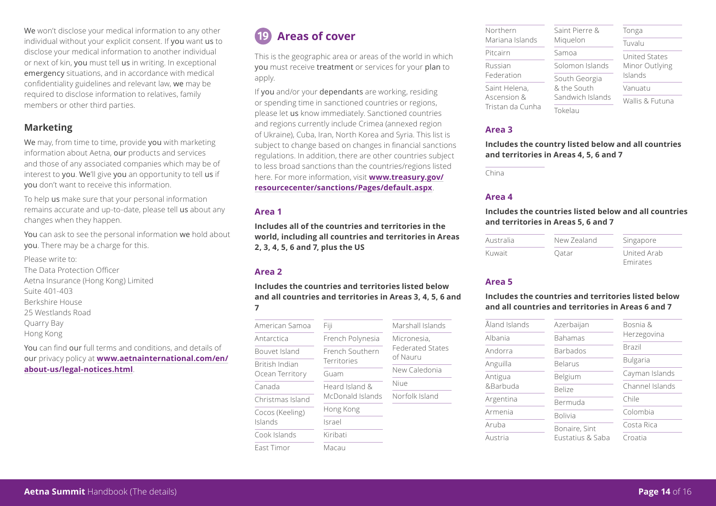We won't disclose your medical information to any other individual without your explicit consent. If you want us to disclose your medical information to another individual or next of kin, you must tell us in writing. In exceptional emergency situations, and in accordance with medical confidentiality guidelines and relevant law, we may be required to disclose information to relatives, family members or other third parties.

#### **Marketing**

We may, from time to time, provide you with marketing information about Aetna, our products and services and those of any associated companies which may be of interest to you. We'll give you an opportunity to tell us if you don't want to receive this information.

To help us make sure that your personal information remains accurate and up-to-date, please tell us about any changes when they happen.

You can ask to see the personal information we hold about you. There may be a charge for this.

Please write to: The Data Protection Officer Aetna Insurance (Hong Kong) Limited Suite 401-403 Berkshire House 25 Westlands Road Quarry Bay Hong Kong

You can find our full terms and conditions, and details of our privacy policy at **www.aetnainternational.com/en/ about-us/legal-notices.html**.

### **Areas of cover**

This is the geographic area or areas of the world in which you must receive treatment or services for your plan to apply.

If you and/or your dependants are working, residing or spending time in sanctioned countries or regions, please let us know immediately. Sanctioned countries and regions currently include Crimea (annexed region of Ukraine), Cuba, Iran, North Korea and Syria. This list is subject to change based on changes in financial sanctions regulations. In addition, there are other countries subject to less broad sanctions than the countries/regions listed here. For more information, visit **www.treasury.gov/ resourcecenter/sanctions/Pages/default.aspx**.

#### **Area 1**

**Includes all of the countries and territories in the world, including all countries and territories in Areas 2, 3, 4, 5, 6 and 7, plus the US** 

#### **Area 2**

**Includes the countries and territories listed below and all countries and territories in Areas 3, 4, 5, 6 and 7** 

| American Samoa             | Fiji                                         | Marshall Islands                    |
|----------------------------|----------------------------------------------|-------------------------------------|
| Antarctica                 | French Polynesia                             | Micronesia.                         |
| Bouvet Island              | <b>French Southern</b><br><b>Territories</b> | <b>Federated States</b><br>of Nauru |
| British Indian             |                                              |                                     |
| Ocean Territory            | Guam                                         | New Caledonia                       |
| Canada                     | Heard Island &<br>McDonald Islands           | Niue                                |
| Christmas Island           |                                              | Norfolk Island                      |
| Cocos (Keeling)<br>Islands | Hong Kong                                    |                                     |
|                            | Israel                                       |                                     |
| Cook Islands               | Kiribati                                     |                                     |
| East Timor                 | Macau                                        |                                     |

| Northern                        | Saint Pierre &                                   | Tonga                     |
|---------------------------------|--------------------------------------------------|---------------------------|
| Mariana Islands                 | Miguelon                                         | Tuvalu                    |
| Pitcairn                        | Samoa                                            | United States             |
| Russian<br>Federation           | Solomon Islands                                  | Minor Outlying<br>Islands |
|                                 | South Georgia<br>& the South<br>Sandwich Islands |                           |
| Saint Helena,                   |                                                  | Vanuatu                   |
| Ascension &<br>Tristan da Cunha |                                                  | Wallis & Eutuna           |
|                                 | Tokelau                                          |                           |

#### **Area 3**

**Includes the country listed below and all countries and territories in Areas 4, 5, 6 and 7** 

China

#### **Area 4**

#### **Includes the countries listed below and all countries and territories in Areas 5, 6 and 7**

| Australia | New Zealand | Singapore   |
|-----------|-------------|-------------|
| Kuwait    | Oatar       | United Arab |
|           |             | Emirates    |

#### **Area 5**

#### **Includes the countries and territories listed below and all countries and territories in Areas 6 and 7**

| Åland Islands | Azerbaijan       | Bosnia &        |  |
|---------------|------------------|-----------------|--|
| Albania       | Bahamas          | Herzegovina     |  |
| Andorra       | <b>Barbados</b>  | Brazil          |  |
| Anguilla      | <b>Belarus</b>   | <b>Bulgaria</b> |  |
| Antigua       | Belgium          | Cayman Islands  |  |
| &Barbuda      | <b>Belize</b>    | Channel Islands |  |
| Argentina     | Bermuda          | Chile           |  |
| Armenia       | <b>Bolivia</b>   | Colombia        |  |
| Aruba         | Bonaire, Sint    | Costa Rica      |  |
| Austria       | Eustatius & Saba | Croatia         |  |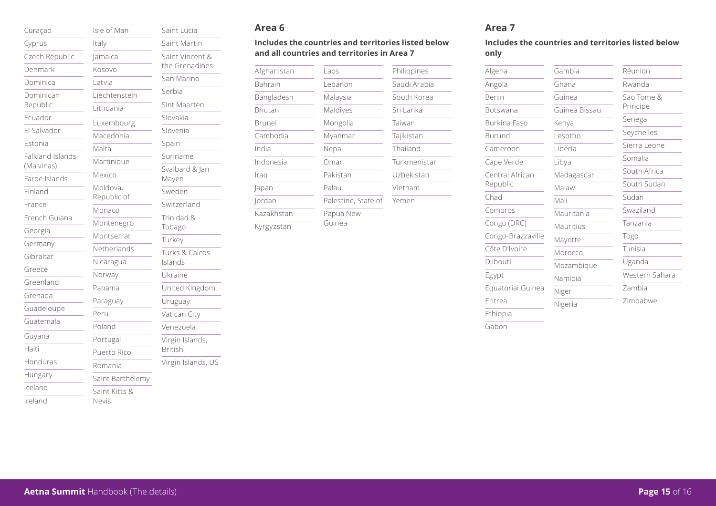| Curaçao                        | Isle of Man             |
|--------------------------------|-------------------------|
| Cyprus                         | Italy                   |
| Czech Republic                 | lamaica                 |
| Denmark                        | Kosovo                  |
| Dominica                       | Latvia                  |
| Dominican                      | Liechtensteir           |
| Republic                       | Lithuania               |
| Ecuador                        | Luxembourg              |
| El Salvador                    | Macedonia               |
| Estonia                        | Malta                   |
| Falkland Islands<br>(Malvinas) | Martinique              |
| Faroe Islands                  | Mexico                  |
| Finland                        | Moldova,<br>Republic of |
| France                         | Monaco                  |
| French Guiana                  | Montenegro              |
| Georgia                        | Montserrat              |
| Germany                        | Netherlands             |
| Gibraltar                      | Nicaragua               |
| Greece                         | Norway                  |
| Greenland                      | Panama                  |
| Grenada                        | Paraguay                |
| Guadeloupe                     | Peru                    |
| Guatemala                      | Poland                  |
| Guyana                         | Portugal                |
| Haiti                          | Puerto Rico             |
| Honduras                       | Romania                 |
| Hungary                        | Saint Barthé            |
| Iceland                        | Saint Kitts &           |
| Ireland                        | Nevis                   |

|               | Saint Lucia                       |
|---------------|-----------------------------------|
|               | Saint Martin                      |
|               | Saint Vincent &<br>the Grenadines |
|               | San Marino                        |
| ein           | Serbia                            |
|               | Sint Maarten                      |
| rg            | Slovakia                          |
|               | Slovenia                          |
|               | Spain                             |
|               | Suriname                          |
|               | Svalbard & Jan                    |
|               | Mayen                             |
| i             | Sweden                            |
|               | Switzerland                       |
| O             | Trinidad &<br>Tobago              |
| į             | Turkey                            |
| ls            | Turks & Caicos<br>Islands         |
|               | Ukraine                           |
|               | United Kingdom                    |
|               | Uruguay                           |
|               | Vatican City                      |
|               | Venezuela                         |
| $\mathcal{C}$ | Virgin Islands,<br><b>British</b> |
|               | Virgin Islands, US                |
| iélemy        |                                   |

#### **Area 6**

#### **Includes the countries and territories listed below and all countries and territories in Area 7**

| Afghanistan | Laos          |
|-------------|---------------|
| Bahrain     | Lebanon       |
| Bangladesh  | Malaysia      |
| Bhutan      | Maldives      |
| Brunei      | Mongolia      |
| Cambodia    | Myanmar       |
| India       | Nepal         |
| Indonesia   | Oman          |
| Iraq        | Pakistan      |
| Japan       | Palau         |
| Jordan      | Palestine, St |
| Kazakhstan  | Papua New     |
| Kyrgyzstan  | Guinea        |

|               | Philippines  |
|---------------|--------------|
| on            | Saudi Arabia |
| sia           | South Korea  |
| res           | Sri Lanka    |
| plia          | Taiwan       |
| nar           | Tajikistan   |
|               | Thailand     |
|               | Turkmenistan |
| an            | Uzbekistan   |
|               | Vietnam      |
| ine. State of | Yemen        |

#### **Area 7**

**Includes the countries and territories listed below only**

| Algeria             | Gambia        | Réunion        |
|---------------------|---------------|----------------|
| Angola              | Ghana         | Rwanda         |
| Benin               | Guinea        | Sao Tome &     |
| Botswana            | Guinea Bissau | Principe       |
| <b>Burkina Faso</b> | Kenya         | Senegal        |
| Burundi             | Lesotho       | Seychelles     |
| Cameroon            | Liberia       | Sierra Leone   |
| Cape Verde          | Libya         | Somalia        |
| Central African     | Madagascar    | South Africa   |
| Republic            | Malawi        | South Sudan    |
| Chad                | Mali          | Sudan          |
| Comoros             | Mauritania    | Swaziland      |
| Congo (DRC)         | Mauritius     | Tanzania       |
| Congo-Brazzaville   | Mayotte       | Togo           |
| Côte D'Ivoire       | Morocco       | Tunisia        |
| Djibouti            | Mozambique    | Uganda         |
| Egypt               | Namibia       | Western Sahara |
| Equatorial Guinea   | Niger         | Zambia         |
| Eritrea             | Nigeria       | Zimbabwe       |
| Ethiopia            |               |                |

Gabon